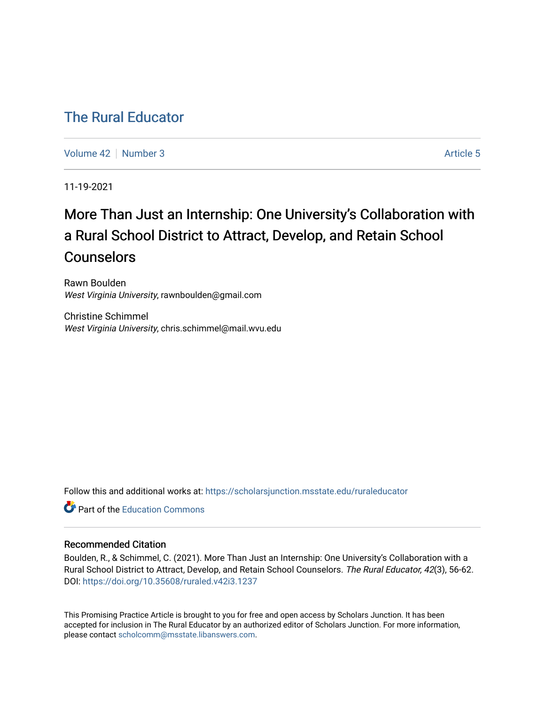# [The Rural Educator](https://scholarsjunction.msstate.edu/ruraleducator)

[Volume 42](https://scholarsjunction.msstate.edu/ruraleducator/vol42) [Number 3](https://scholarsjunction.msstate.edu/ruraleducator/vol42/iss3) Article 5

11-19-2021

# More Than Just an Internship: One University's Collaboration with a Rural School District to Attract, Develop, and Retain School **Counselors**

Rawn Boulden West Virginia University, rawnboulden@gmail.com

Christine Schimmel West Virginia University, chris.schimmel@mail.wvu.edu

Follow this and additional works at: [https://scholarsjunction.msstate.edu/ruraleducator](https://scholarsjunction.msstate.edu/ruraleducator?utm_source=scholarsjunction.msstate.edu%2Fruraleducator%2Fvol42%2Fiss3%2F5&utm_medium=PDF&utm_campaign=PDFCoverPages)

**C** Part of the [Education Commons](http://network.bepress.com/hgg/discipline/784?utm_source=scholarsjunction.msstate.edu%2Fruraleducator%2Fvol42%2Fiss3%2F5&utm_medium=PDF&utm_campaign=PDFCoverPages)

## Recommended Citation

Boulden, R., & Schimmel, C. (2021). More Than Just an Internship: One University's Collaboration with a Rural School District to Attract, Develop, and Retain School Counselors. The Rural Educator, 42(3), 56-62. DOI:<https://doi.org/10.35608/ruraled.v42i3.1237>

This Promising Practice Article is brought to you for free and open access by Scholars Junction. It has been accepted for inclusion in The Rural Educator by an authorized editor of Scholars Junction. For more information, please contact [scholcomm@msstate.libanswers.com.](mailto:scholcomm@msstate.libanswers.com)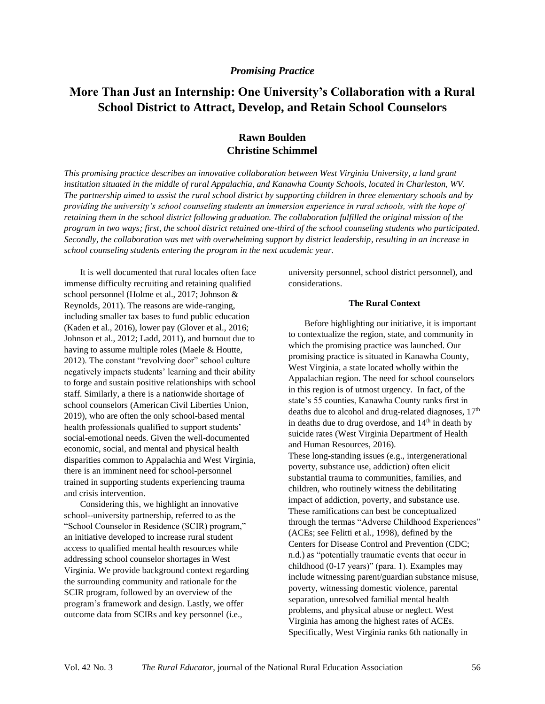#### *Promising Practice*

# **More Than Just an Internship: One University's Collaboration with a Rural School District to Attract, Develop, and Retain School Counselors**

## **Rawn Boulden Christine Schimmel**

*This promising practice describes an innovative collaboration between West Virginia University, a land grant institution situated in the middle of rural Appalachia, and Kanawha County Schools, located in Charleston, WV. The partnership aimed to assist the rural school district by supporting children in three elementary schools and by providing the university's school counseling students an immersion experience in rural schools, with the hope of retaining them in the school district following graduation. The collaboration fulfilled the original mission of the program in two ways; first, the school district retained one-third of the school counseling students who participated. Secondly, the collaboration was met with overwhelming support by district leadership, resulting in an increase in school counseling students entering the program in the next academic year.* 

It is well documented that rural locales often face immense difficulty recruiting and retaining qualified school personnel (Holme et al., 2017; Johnson & Reynolds, 2011). The reasons are wide-ranging, including smaller tax bases to fund public education (Kaden et al., 2016), lower pay (Glover et al., 2016; Johnson et al., 2012; Ladd, 2011), and burnout due to having to assume multiple roles (Maele & Houtte, 2012). The constant "revolving door" school culture negatively impacts students' learning and their ability to forge and sustain positive relationships with school staff. Similarly, a there is a nationwide shortage of school counselors (American Civil Liberties Union, 2019), who are often the only school-based mental health professionals qualified to support students' social-emotional needs. Given the well-documented economic, social, and mental and physical health disparities common to Appalachia and West Virginia, there is an imminent need for school-personnel trained in supporting students experiencing trauma and crisis intervention.

Considering this, we highlight an innovative school--university partnership, referred to as the "School Counselor in Residence (SCIR) program," an initiative developed to increase rural student access to qualified mental health resources while addressing school counselor shortages in West Virginia. We provide background context regarding the surrounding community and rationale for the SCIR program, followed by an overview of the program's framework and design. Lastly, we offer outcome data from SCIRs and key personnel (i.e.,

university personnel, school district personnel), and considerations.

#### **The Rural Context**

Before highlighting our initiative, it is important to contextualize the region, state, and community in which the promising practice was launched. Our promising practice is situated in Kanawha County, West Virginia, a state located wholly within the Appalachian region. The need for school counselors in this region is of utmost urgency. In fact, of the state's 55 counties, Kanawha County ranks first in deaths due to alcohol and drug-related diagnoses,  $17<sup>th</sup>$ in deaths due to drug overdose, and 14<sup>th</sup> in death by suicide rates (West Virginia Department of Health and Human Resources, 2016). These long-standing issues (e.g., intergenerational poverty, substance use, addiction) often elicit substantial trauma to communities, families, and children, who routinely witness the debilitating impact of addiction, poverty, and substance use. These ramifications can best be conceptualized through the termas "Adverse Childhood Experiences" (ACEs; see Felitti et al., 1998), defined by the Centers for Disease Control and Prevention (CDC; n.d.) as "potentially traumatic events that occur in childhood (0-17 years)" (para. 1). Examples may include witnessing parent/guardian substance misuse, poverty, witnessing domestic violence, parental separation, unresolved familial mental health problems, and physical abuse or neglect. West Virginia has among the highest rates of ACEs. Specifically, West Virginia ranks 6th nationally in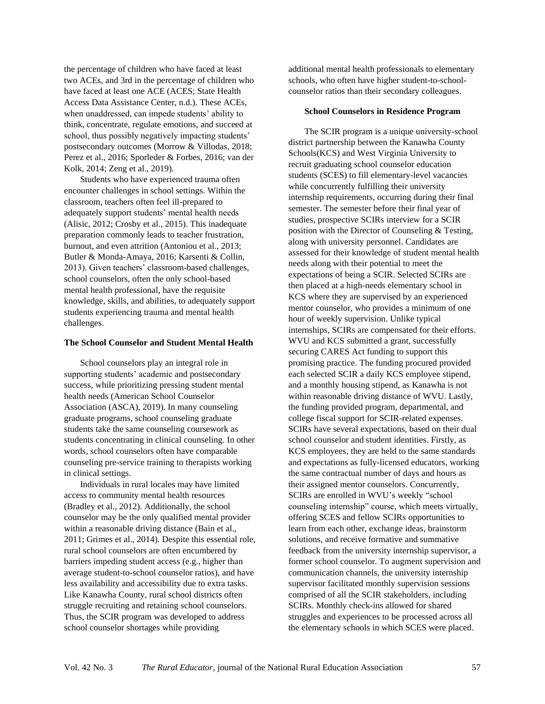the percentage of children who have faced at least two ACEs, and 3rd in the percentage of children who have faced at least one ACE (ACES; State Health Access Data Assistance Center, n.d.). These ACEs, when unaddressed, can impede students' ability to think, concentrate, regulate emotions, and succeed at school, thus possibly negatively impacting students' postsecondary outcomes (Morrow & Villodas, 2018; Perez et al., 2016; Sporleder & Forbes, 2016; van der Kolk, 2014; Zeng et al., 2019).

Students who have experienced trauma often encounter challenges in school settings. Within the classroom, teachers often feel ill-prepared to adequately support students' mental health needs (Alisic, 2012; Crosby et al., 2015). This inadequate preparation commonly leads to teacher frustration, burnout, and even attrition (Antoniou et al., 2013; Butler & Monda-Amaya, 2016; Karsenti & Collin, 2013). Given teachers' classroom-based challenges, school counselors, often the only school-based mental health professional, have the requisite knowledge, skills, and abilities, to adequately support students experiencing trauma and mental health challenges.

#### **The School Counselor and Student Mental Health**

School counselors play an integral role in supporting students' academic and postsecondary success, while prioritizing pressing student mental health needs (American School Counselor Association (ASCA), 2019). In many counseling graduate programs, school counseling graduate students take the same counseling coursework as students concentrating in clinical counseling. In other words, school counselors often have comparable counseling pre-service training to therapists working in clinical settings.

Individuals in rural locales may have limited access to community mental health resources (Bradley et al., 2012). Additionally, the school counselor may be the only qualified mental provider within a reasonable driving distance (Bain et al., 2011; Grimes et al., 2014). Despite this essential role, rural school counselors are often encumbered by barriers impeding student access (e.g., higher than average student-to-school counselor ratios), and have less availability and accessibility due to extra tasks. Like Kanawha County, rural school districts often struggle recruiting and retaining school counselors. Thus, the SCIR program was developed to address school counselor shortages while providing

additional mental health professionals to elementary schools, who often have higher student-to-schoolcounselor ratios than their secondary colleagues.

#### **School Counselors in Residence Program**

The SCIR program is a unique university-school district partnership between the Kanawha County Schools(KCS) and West Virginia University to recruit graduating school counselor education students (SCES) to fill elementary-level vacancies while concurrently fulfilling their university internship requirements, occurring during their final semester. The semester before their final year of studies, prospective SCIRs interview for a SCIR position with the Director of Counseling & Testing, along with university personnel. Candidates are assessed for their knowledge of student mental health needs along with their potential to meet the expectations of being a SCIR. Selected SCIRs are then placed at a high-needs elementary school in KCS where they are supervised by an experienced mentor counselor, who provides a minimum of one hour of weekly supervision. Unlike typical internships, SCIRs are compensated for their efforts. WVU and KCS submitted a grant, successfully securing CARES Act funding to support this promising practice. The funding procured provided each selected SCIR a daily KCS employee stipend, and a monthly housing stipend, as Kanawha is not within reasonable driving distance of WVU. Lastly, the funding provided program, departmental, and college fiscal support for SCIR-related expenses. SCIRs have several expectations, based on their dual school counselor and student identities. Firstly, as KCS employees, they are held to the same standards and expectations as fully-licensed educators, working the same contractual number of days and hours as their assigned mentor counselors. Concurrently, SCIRs are enrolled in WVU's weekly "school counseling internship" course, which meets virtually, offering SCES and fellow SCIRs opportunities to learn from each other, exchange ideas, brainstorm solutions, and receive formative and summative feedback from the university internship supervisor, a former school counselor. To augment supervision and communication channels, the university internship supervisor facilitated monthly supervision sessions comprised of all the SCIR stakeholders, including SCIRs. Monthly check-ins allowed for shared struggles and experiences to be processed across all the elementary schools in which SCES were placed.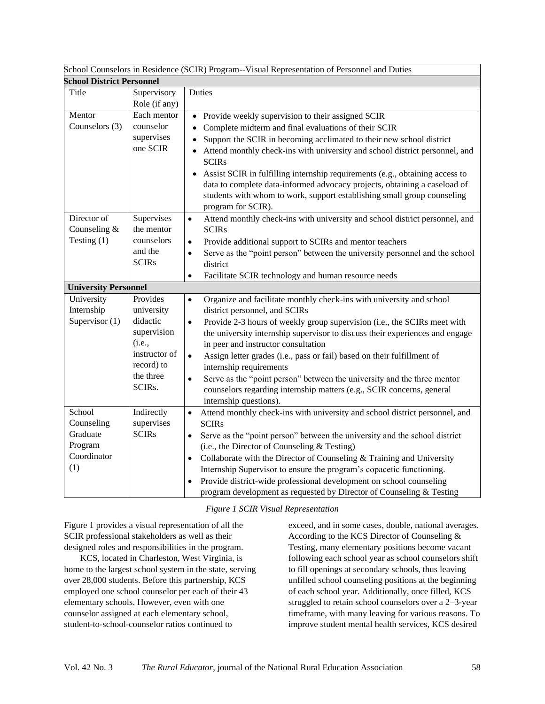| School Counselors in Residence (SCIR) Program--Visual Representation of Personnel and Duties |               |                                                                                                                                                          |
|----------------------------------------------------------------------------------------------|---------------|----------------------------------------------------------------------------------------------------------------------------------------------------------|
| <b>School District Personnel</b>                                                             |               |                                                                                                                                                          |
| Title                                                                                        | Supervisory   | Duties                                                                                                                                                   |
|                                                                                              | Role (if any) |                                                                                                                                                          |
| Mentor                                                                                       | Each mentor   | Provide weekly supervision to their assigned SCIR                                                                                                        |
| Counselors (3)                                                                               | counselor     | Complete midterm and final evaluations of their SCIR<br>$\bullet$                                                                                        |
|                                                                                              | supervises    | Support the SCIR in becoming acclimated to their new school district                                                                                     |
|                                                                                              | one SCIR      | Attend monthly check-ins with university and school district personnel, and                                                                              |
|                                                                                              |               | <b>SCIRs</b>                                                                                                                                             |
|                                                                                              |               | Assist SCIR in fulfilling internship requirements (e.g., obtaining access to                                                                             |
|                                                                                              |               | data to complete data-informed advocacy projects, obtaining a caseload of                                                                                |
|                                                                                              |               | students with whom to work, support establishing small group counseling                                                                                  |
|                                                                                              |               | program for SCIR).                                                                                                                                       |
| Director of                                                                                  | Supervises    | Attend monthly check-ins with university and school district personnel, and<br>$\bullet$                                                                 |
| Counseling &                                                                                 | the mentor    | <b>SCIRs</b>                                                                                                                                             |
| Testing $(1)$                                                                                | counselors    | Provide additional support to SCIRs and mentor teachers<br>$\bullet$                                                                                     |
|                                                                                              | and the       | Serve as the "point person" between the university personnel and the school<br>$\bullet$                                                                 |
|                                                                                              | <b>SCIRs</b>  | district                                                                                                                                                 |
|                                                                                              |               | Facilitate SCIR technology and human resource needs<br>$\bullet$                                                                                         |
| <b>University Personnel</b>                                                                  |               |                                                                                                                                                          |
|                                                                                              |               |                                                                                                                                                          |
| University                                                                                   | Provides      | Organize and facilitate monthly check-ins with university and school<br>$\bullet$                                                                        |
| Internship                                                                                   | university    | district personnel, and SCIRs                                                                                                                            |
| Supervisor (1)                                                                               | didactic      | Provide 2-3 hours of weekly group supervision (i.e., the SCIRs meet with<br>$\bullet$                                                                    |
|                                                                                              | supervision   | the university internship supervisor to discuss their experiences and engage                                                                             |
|                                                                                              | (i.e.,        | in peer and instructor consultation                                                                                                                      |
|                                                                                              | instructor of | Assign letter grades (i.e., pass or fail) based on their fulfillment of<br>$\bullet$                                                                     |
|                                                                                              | record) to    | internship requirements                                                                                                                                  |
|                                                                                              | the three     | Serve as the "point person" between the university and the three mentor<br>$\bullet$                                                                     |
|                                                                                              | SCIRs.        | counselors regarding internship matters (e.g., SCIR concerns, general                                                                                    |
|                                                                                              |               | internship questions).                                                                                                                                   |
| School                                                                                       | Indirectly    | Attend monthly check-ins with university and school district personnel, and<br>$\bullet$                                                                 |
| Counseling                                                                                   | supervises    | <b>SCIRs</b>                                                                                                                                             |
| Graduate                                                                                     | <b>SCIRs</b>  | Serve as the "point person" between the university and the school district<br>$\bullet$                                                                  |
| Program                                                                                      |               | (i.e., the Director of Counseling & Testing)                                                                                                             |
| Coordinator                                                                                  |               | Collaborate with the Director of Counseling & Training and University<br>$\bullet$                                                                       |
| (1)                                                                                          |               | Internship Supervisor to ensure the program's copacetic functioning.                                                                                     |
|                                                                                              |               | Provide district-wide professional development on school counseling<br>$\bullet$<br>program development as requested by Director of Counseling & Testing |

#### *Figure 1 SCIR Visual Representation*

Figure 1 provides a visual representation of all the SCIR professional stakeholders as well as their designed roles and responsibilities in the program.

KCS, located in Charleston, West Virginia, is home to the largest school system in the state, serving over 28,000 students. Before this partnership, KCS employed one school counselor per each of their 43 elementary schools. However, even with one counselor assigned at each elementary school, student-to-school-counselor ratios continued to

exceed, and in some cases, double, national averages. According to the KCS Director of Counseling & Testing, many elementary positions become vacant following each school year as school counselors shift to fill openings at secondary schools, thus leaving unfilled school counseling positions at the beginning of each school year. Additionally, once filled, KCS struggled to retain school counselors over a 2–3-year timeframe, with many leaving for various reasons. To improve student mental health services, KCS desired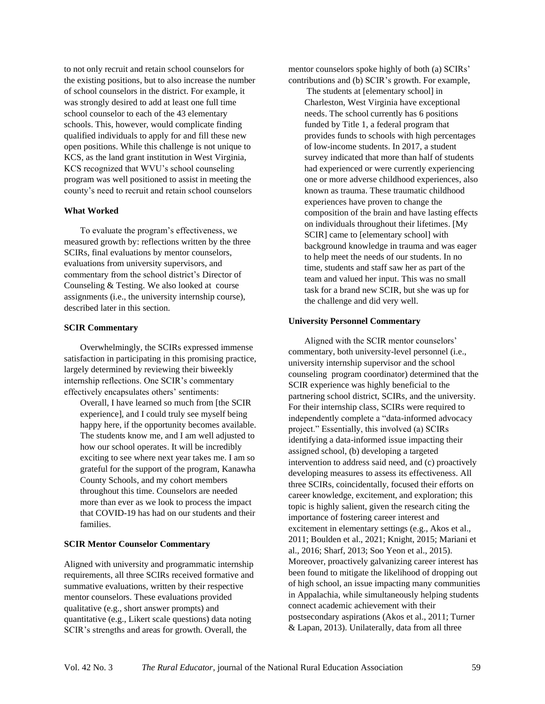to not only recruit and retain school counselors for the existing positions, but to also increase the number of school counselors in the district. For example, it was strongly desired to add at least one full time school counselor to each of the 43 elementary schools. This, however, would complicate finding qualified individuals to apply for and fill these new open positions. While this challenge is not unique to KCS, as the land grant institution in West Virginia, KCS recognized that WVU's school counseling program was well positioned to assist in meeting the county's need to recruit and retain school counselors

#### **What Worked**

To evaluate the program's effectiveness, we measured growth by: reflections written by the three SCIRs, final evaluations by mentor counselors, evaluations from university supervisors, and commentary from the school district's Director of Counseling & Testing. We also looked at course assignments (i.e., the university internship course), described later in this section.

#### **SCIR Commentary**

Overwhelmingly, the SCIRs expressed immense satisfaction in participating in this promising practice, largely determined by reviewing their biweekly internship reflections. One SCIR's commentary effectively encapsulates others' sentiments:

Overall, I have learned so much from [the SCIR experience], and I could truly see myself being happy here, if the opportunity becomes available. The students know me, and I am well adjusted to how our school operates. It will be incredibly exciting to see where next year takes me. I am so grateful for the support of the program, Kanawha County Schools, and my cohort members throughout this time. Counselors are needed more than ever as we look to process the impact that COVID-19 has had on our students and their families.

#### **SCIR Mentor Counselor Commentary**

Aligned with university and programmatic internship requirements, all three SCIRs received formative and summative evaluations, written by their respective mentor counselors. These evaluations provided qualitative (e.g., short answer prompts) and quantitative (e.g., Likert scale questions) data noting SCIR's strengths and areas for growth. Overall, the

mentor counselors spoke highly of both (a) SCIRs' contributions and (b) SCIR's growth. For example,

The students at [elementary school] in Charleston, West Virginia have exceptional needs. The school currently has 6 positions funded by Title 1, a federal program that provides funds to schools with high percentages of low-income students. In 2017, a student survey indicated that more than half of students had experienced or were currently experiencing one or more adverse childhood experiences, also known as trauma. These traumatic childhood experiences have proven to change the composition of the brain and have lasting effects on individuals throughout their lifetimes. [My SCIR] came to [elementary school] with background knowledge in trauma and was eager to help meet the needs of our students. In no time, students and staff saw her as part of the team and valued her input. This was no small task for a brand new SCIR, but she was up for the challenge and did very well.

#### **University Personnel Commentary**

Aligned with the SCIR mentor counselors' commentary, both university-level personnel (i.e., university internship supervisor and the school counseling program coordinator) determined that the SCIR experience was highly beneficial to the partnering school district, SCIRs, and the university. For their internship class, SCIRs were required to independently complete a "data-informed advocacy project." Essentially, this involved (a) SCIRs identifying a data-informed issue impacting their assigned school, (b) developing a targeted intervention to address said need, and (c) proactively developing measures to assess its effectiveness. All three SCIRs, coincidentally, focused their efforts on career knowledge, excitement, and exploration; this topic is highly salient, given the research citing the importance of fostering career interest and excitement in elementary settings (e.g., Akos et al., 2011; Boulden et al., 2021; Knight, 2015; Mariani et al., 2016; Sharf, 2013; Soo Yeon et al., 2015). Moreover, proactively galvanizing career interest has been found to mitigate the likelihood of dropping out of high school, an issue impacting many communities in Appalachia, while simultaneously helping students connect academic achievement with their postsecondary aspirations (Akos et al., 2011; Turner & Lapan, 2013). Unilaterally, data from all three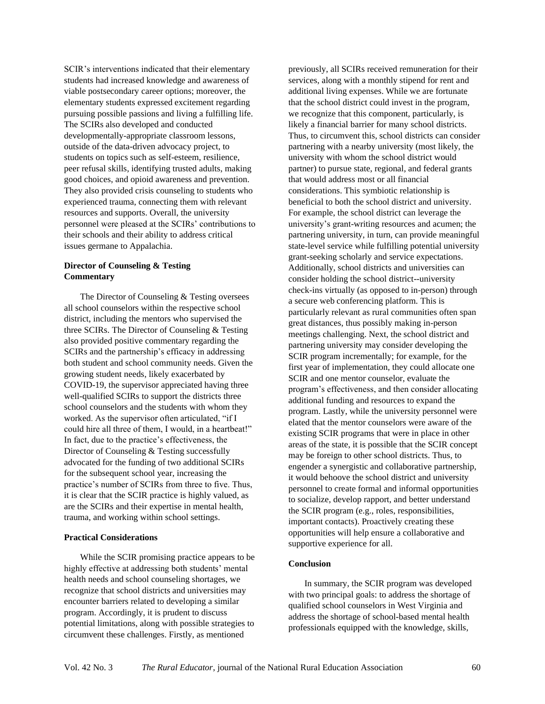SCIR's interventions indicated that their elementary students had increased knowledge and awareness of viable postsecondary career options; moreover, the elementary students expressed excitement regarding pursuing possible passions and living a fulfilling life. The SCIRs also developed and conducted developmentally-appropriate classroom lessons, outside of the data-driven advocacy project, to students on topics such as self-esteem, resilience, peer refusal skills, identifying trusted adults, making good choices, and opioid awareness and prevention. They also provided crisis counseling to students who experienced trauma, connecting them with relevant resources and supports. Overall, the university personnel were pleased at the SCIRs' contributions to their schools and their ability to address critical issues germane to Appalachia.

#### **Director of Counseling & Testing Commentary**

The Director of Counseling & Testing oversees all school counselors within the respective school district, including the mentors who supervised the three SCIRs. The Director of Counseling & Testing also provided positive commentary regarding the SCIRs and the partnership's efficacy in addressing both student and school community needs. Given the growing student needs, likely exacerbated by COVID-19, the supervisor appreciated having three well-qualified SCIRs to support the districts three school counselors and the students with whom they worked. As the supervisor often articulated, "if I could hire all three of them, I would, in a heartbeat!" In fact, due to the practice's effectiveness, the Director of Counseling & Testing successfully advocated for the funding of two additional SCIRs for the subsequent school year, increasing the practice's number of SCIRs from three to five. Thus, it is clear that the SCIR practice is highly valued, as are the SCIRs and their expertise in mental health, trauma, and working within school settings.

#### **Practical Considerations**

While the SCIR promising practice appears to be highly effective at addressing both students' mental health needs and school counseling shortages, we recognize that school districts and universities may encounter barriers related to developing a similar program. Accordingly, it is prudent to discuss potential limitations, along with possible strategies to circumvent these challenges. Firstly, as mentioned

previously, all SCIRs received remuneration for their services, along with a monthly stipend for rent and additional living expenses. While we are fortunate that the school district could invest in the program, we recognize that this component, particularly, is likely a financial barrier for many school districts. Thus, to circumvent this, school districts can consider partnering with a nearby university (most likely, the university with whom the school district would partner) to pursue state, regional, and federal grants that would address most or all financial considerations. This symbiotic relationship is beneficial to both the school district and university. For example, the school district can leverage the university's grant-writing resources and acumen; the partnering university, in turn, can provide meaningful state-level service while fulfilling potential university grant-seeking scholarly and service expectations. Additionally, school districts and universities can consider holding the school district--university check-ins virtually (as opposed to in-person) through a secure web conferencing platform. This is particularly relevant as rural communities often span great distances, thus possibly making in-person meetings challenging. Next, the school district and partnering university may consider developing the SCIR program incrementally; for example, for the first year of implementation, they could allocate one SCIR and one mentor counselor, evaluate the program's effectiveness, and then consider allocating additional funding and resources to expand the program. Lastly, while the university personnel were elated that the mentor counselors were aware of the existing SCIR programs that were in place in other areas of the state, it is possible that the SCIR concept may be foreign to other school districts. Thus, to engender a synergistic and collaborative partnership, it would behoove the school district and university personnel to create formal and informal opportunities to socialize, develop rapport, and better understand the SCIR program (e.g., roles, responsibilities, important contacts). Proactively creating these opportunities will help ensure a collaborative and supportive experience for all.

#### **Conclusion**

In summary, the SCIR program was developed with two principal goals: to address the shortage of qualified school counselors in West Virginia and address the shortage of school-based mental health professionals equipped with the knowledge, skills,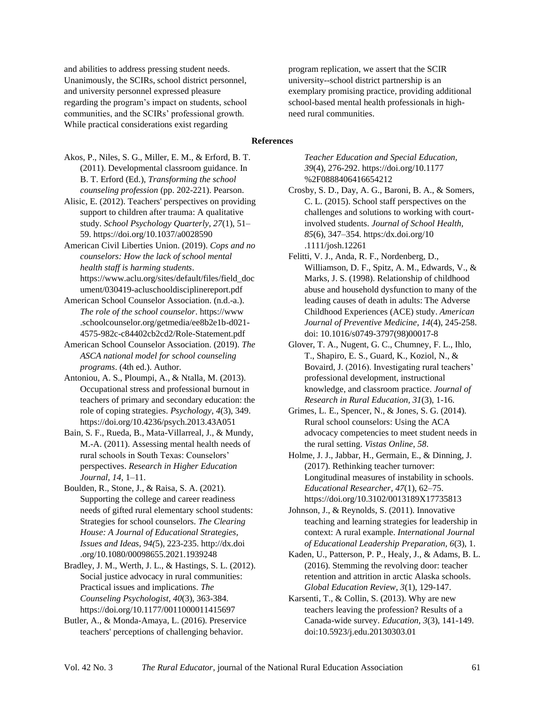and abilities to address pressing student needs. Unanimously, the SCIRs, school district personnel, and university personnel expressed pleasure regarding the program's impact on students, school communities, and the SCIRs' professional growth. While practical considerations exist regarding

program replication, we assert that the SCIR university--school district partnership is an exemplary promising practice, providing additional school-based mental health professionals in highneed rural communities.

#### **References**

Akos, P., Niles, S. G., Miller, E. M., & Erford, B. T. (2011). Developmental classroom guidance. In B. T. Erford (Ed.), *Transforming the school counseling profession* (pp. 202-221). Pearson.

Alisic, E. (2012). Teachers' perspectives on providing support to children after trauma: A qualitative study. *School Psychology Quarterly, 27*(1), 51– 59. https://doi.org/10.1037/a0028590

American Civil Liberties Union. (2019). *Cops and no counselors: How the lack of school mental health staff is harming students*. https://www.aclu.org/sites/default/files/field\_doc ument/030419-acluschooldisciplinereport.pdf

American School Counselor Association. (n.d.-a.). *The role of the school counselor*. https://www .schoolcounselor.org/getmedia/ee8b2e1b-d021- 4575-982c-c84402cb2cd2/Role-Statement.pdf

American School Counselor Association. (2019). *The ASCA national model for school counseling programs*. (4th ed.). Author.

Antoniou, A. S., Ploumpi, A., & Ntalla, M. (2013). Occupational stress and professional burnout in teachers of primary and secondary education: the role of coping strategies. *Psychology*, *4*(3), 349. https://doi.org/10.4236/psych.2013.43A051

Bain, S. F., Rueda, B., Mata-Villarreal, J., & Mundy, M.-A. (2011). Assessing mental health needs of rural schools in South Texas: Counselors' perspectives. *Research in Higher Education Journal, 14*, 1–11.

Boulden, R., Stone, J., & Raisa, S. A. (2021). Supporting the college and career readiness needs of gifted rural elementary school students: Strategies for school counselors. *The Clearing House: A Journal of Educational Strategies, Issues and Ideas, 94(*5), 223-235. http://dx.doi .org/10.1080/00098655.2021.1939248

Bradley, J. M., Werth, J. L., & Hastings, S. L. (2012). Social justice advocacy in rural communities: Practical issues and implications. *The Counseling Psychologist, 40*(3), 363-384. https://doi.org/10.1177/0011000011415697

Butler, A., & Monda-Amaya, L. (2016). Preservice teachers' perceptions of challenging behavior.

*Teacher Education and Special Education, 39*(4), 276-292. https://doi.org/10.1177 %2F0888406416654212

Crosby, S. D., Day, A. G., Baroni, B. A., & Somers, C. L. (2015). School staff perspectives on the challenges and solutions to working with courtinvolved students. *Journal of School Health, 85*(6), 347–354. https:/dx.doi.org/10 .1111/josh.12261

Felitti, V. J., Anda, R. F., Nordenberg, D., Williamson, D. F., Spitz, A. M., Edwards, V., & Marks, J. S. (1998). Relationship of childhood abuse and household dysfunction to many of the leading causes of death in adults: The Adverse Childhood Experiences (ACE) study. *American Journal of Preventive Medicine*, *14*(4), 245-258. doi: [10.1016/s0749-3797\(98\)00017-8](https://doi.org/10.1016/s0749-3797(98)00017-8)

Glover, T. A., Nugent, G. C., Chumney, F. L., Ihlo, T., Shapiro, E. S., Guard, K., Koziol, N., & Bovaird, J. (2016). Investigating rural teachers' professional development, instructional knowledge, and classroom practice. *Journal of Research in Rural Education, 31*(3), 1-16.

Grimes, L. E., Spencer, N., & Jones, S. G. (2014). Rural school counselors: Using the ACA advocacy competencies to meet student needs in the rural setting. *Vistas Online*, *58*.

Holme, J. J., Jabbar, H., Germain, E., & Dinning, J. (2017). Rethinking teacher turnover: Longitudinal measures of instability in schools. *Educational Researcher, 47*(1), 62–75. https://doi.org/10.3102/0013189X17735813

Johnson, J., & Reynolds, S. (2011). Innovative teaching and learning strategies for leadership in context: A rural example. *International Journal of Educational Leadership Preparation, 6*(3), 1.

Kaden, U., Patterson, P. P., Healy, J., & Adams, B. L. (2016). Stemming the revolving door: teacher retention and attrition in arctic Alaska schools. *Global Education Review, 3*(1), 129-147.

Karsenti, T., & Collin, S. (2013). Why are new teachers leaving the profession? Results of a Canada-wide survey. *Education, 3*(3), 141-149. doi:10.5923/j.edu.20130303.01